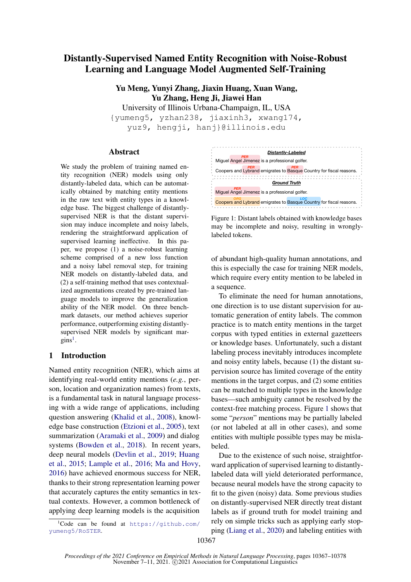# Distantly-Supervised Named Entity Recognition with Noise-Robust Learning and Language Model Augmented Self-Training

Yu Meng, Yunyi Zhang, Jiaxin Huang, Xuan Wang, Yu Zhang, Heng Ji, Jiawei Han

University of Illinois Urbana-Champaign, IL, USA {yumeng5, yzhan238, jiaxinh3, xwang174,

yuz9, hengji, hanj}@illinois.edu

#### Abstract

We study the problem of training named entity recognition (NER) models using only distantly-labeled data, which can be automatically obtained by matching entity mentions in the raw text with entity types in a knowledge base. The biggest challenge of distantlysupervised NER is that the distant supervision may induce incomplete and noisy labels, rendering the straightforward application of supervised learning ineffective. In this paper, we propose (1) a noise-robust learning scheme comprised of a new loss function and a noisy label removal step, for training NER models on distantly-labeled data, and (2) a self-training method that uses contextualized augmentations created by pre-trained language models to improve the generalization ability of the NER model. On three benchmark datasets, our method achieves superior performance, outperforming existing distantlysupervised NER models by significant mar- $\text{gins}^1$  $\text{gins}^1$ .

### 1 Introduction

Named entity recognition (NER), which aims at identifying real-world entity mentions (*e.g.*, person, location and organization names) from texts, is a fundamental task in natural language processing with a wide range of applications, including question answering [\(Khalid et al.,](#page-9-0) [2008\)](#page-9-0), knowledge base construction [\(Etzioni et al.,](#page-9-1) [2005\)](#page-9-1), text summarization [\(Aramaki et al.,](#page-9-2) [2009\)](#page-9-2) and dialog systems [\(Bowden et al.,](#page-9-3) [2018\)](#page-9-3). In recent years, deep neural models [\(Devlin et al.,](#page-9-4) [2019;](#page-9-4) [Huang](#page-9-5) [et al.,](#page-9-5) [2015;](#page-9-5) [Lample et al.,](#page-9-6) [2016;](#page-9-6) [Ma and Hovy,](#page-9-7) [2016\)](#page-9-7) have achieved enormous success for NER, thanks to their strong representation learning power that accurately captures the entity semantics in textual contexts. However, a common bottleneck of applying deep learning models is the acquisition

<span id="page-0-1"></span>

Figure 1: Distant labels obtained with knowledge bases may be incomplete and noisy, resulting in wronglylabeled tokens.

of abundant high-quality human annotations, and this is especially the case for training NER models, which require every entity mention to be labeled in a sequence.

To eliminate the need for human annotations, one direction is to use distant supervision for automatic generation of entity labels. The common practice is to match entity mentions in the target corpus with typed entities in external gazetteers or knowledge bases. Unfortunately, such a distant labeling process inevitably introduces incomplete and noisy entity labels, because (1) the distant supervision source has limited coverage of the entity mentions in the target corpus, and (2) some entities can be matched to multiple types in the knowledge bases—such ambiguity cannot be resolved by the context-free matching process. Figure [1](#page-0-1) shows that some "*person*" mentions may be partially labeled (or not labeled at all in other cases), and some entities with multiple possible types may be mislabeled.

Due to the existence of such noise, straightforward application of supervised learning to distantlylabeled data will yield deteriorated performance, because neural models have the strong capacity to fit to the given (noisy) data. Some previous studies on distantly-supervised NER directly treat distant labels as if ground truth for model training and rely on simple tricks such as applying early stopping [\(Liang et al.,](#page-9-8) [2020\)](#page-9-8) and labeling entities with

<span id="page-0-0"></span> ${}^{1}$ Code can be found at [https://github.com/](https://github.com/yumeng5/RoSTER) [yumeng5/RoSTER](https://github.com/yumeng5/RoSTER).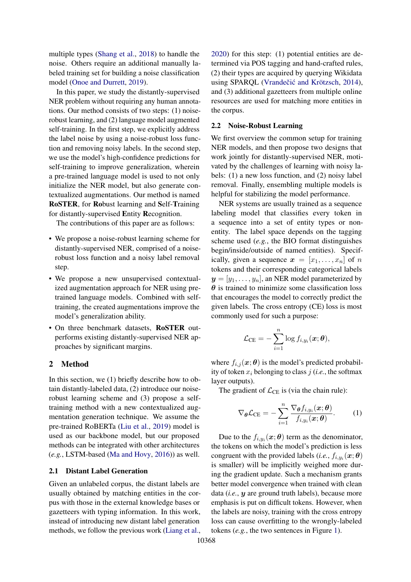multiple types [\(Shang et al.,](#page-10-0) [2018\)](#page-10-0) to handle the noise. Others require an additional manually labeled training set for building a noise classification model [\(Onoe and Durrett,](#page-10-1) [2019\)](#page-10-1).

In this paper, we study the distantly-supervised NER problem without requiring any human annotations. Our method consists of two steps: (1) noiserobust learning, and (2) language model augmented self-training. In the first step, we explicitly address the label noise by using a noise-robust loss function and removing noisy labels. In the second step, we use the model's high-confidence predictions for self-training to improve generalization, wherein a pre-trained language model is used to not only initialize the NER model, but also generate contextualized augmentations. Our method is named RoSTER, for Robust learning and Self-Training for distantly-supervised Entity Recognition.

The contributions of this paper are as follows:

- We propose a noise-robust learning scheme for distantly-supervised NER, comprised of a noiserobust loss function and a noisy label removal step.
- We propose a new unsupervised contextualized augmentation approach for NER using pretrained language models. Combined with selftraining, the created augmentations improve the model's generalization ability.
- On three benchmark datasets, RoSTER outperforms existing distantly-supervised NER approaches by significant margins.

### 2 Method

In this section, we (1) briefly describe how to obtain distantly-labeled data, (2) introduce our noiserobust learning scheme and (3) propose a selftraining method with a new contextualized augmentation generation technique. We assume the pre-trained RoBERTa [\(Liu et al.,](#page-9-9) [2019\)](#page-9-9) model is used as our backbone model, but our proposed methods can be integrated with other architectures (*e.g.*, LSTM-based [\(Ma and Hovy,](#page-9-7) [2016\)](#page-9-7)) as well.

#### 2.1 Distant Label Generation

Given an unlabeled corpus, the distant labels are usually obtained by matching entities in the corpus with those in the external knowledge bases or gazetteers with typing information. In this work, instead of introducing new distant label generation methods, we follow the previous work [\(Liang et al.,](#page-9-8)

[2020\)](#page-9-8) for this step: (1) potential entities are determined via POS tagging and hand-crafted rules, (2) their types are acquired by querying Wikidata using SPARQL (Vrandečić and Krötzsch, [2014\)](#page-10-2), and (3) additional gazetteers from multiple online resources are used for matching more entities in the corpus.

### 2.2 Noise-Robust Learning

We first overview the common setup for training NER models, and then propose two designs that work jointly for distantly-supervised NER, motivated by the challenges of learning with noisy labels: (1) a new loss function, and (2) noisy label removal. Finally, ensembling multiple models is helpful for stabilizing the model performance.

NER systems are usually trained as a sequence labeling model that classifies every token in a sequence into a set of entity types or nonentity. The label space depends on the tagging scheme used (*e.g.*, the BIO format distinguishes begin/inside/outside of named entities). Specifically, given a sequence  $x = [x_1, \ldots, x_n]$  of n tokens and their corresponding categorical labels  $y = [y_1, \ldots, y_n]$ , an NER model parameterized by  $\theta$  is trained to minimize some classification loss that encourages the model to correctly predict the given labels. The cross entropy (CE) loss is most commonly used for such a purpose:

$$
\mathcal{L}_{\mathrm{CE}} = -\sum_{i=1}^n \log f_{i,y_i}(\bm{x}; \bm{\theta}),
$$

where  $f_{i,j}(\boldsymbol{x}; \boldsymbol{\theta})$  is the model's predicted probability of token  $x_i$  belonging to class  $j$  (*i.e.*, the softmax layer outputs).

The gradient of  $\mathcal{L}_{\text{CE}}$  is (via the chain rule):

<span id="page-1-0"></span>
$$
\nabla_{\boldsymbol{\theta}} \mathcal{L}_{\mathrm{CE}} = -\sum_{i=1}^{n} \frac{\nabla_{\boldsymbol{\theta}} f_{i,y_i}(\boldsymbol{x}; \boldsymbol{\theta})}{f_{i,y_i}(\boldsymbol{x}; \boldsymbol{\theta})}.
$$
 (1)

Due to the  $f_{i,y_i}$  $(\boldsymbol{x}; \boldsymbol{\theta})$  term as the denominator, the tokens on which the model's prediction is less congruent with the provided labels (*i.e.*,  $f_{i,y_i}(\boldsymbol{x}; \boldsymbol{\theta})$ is smaller) will be implicitly weighed more during the gradient update. Such a mechanism grants better model convergence when trained with clean data (*i.e.*, y are ground truth labels), because more emphasis is put on difficult tokens. However, when the labels are noisy, training with the cross entropy loss can cause overfitting to the wrongly-labeled tokens (*e.g.*, the two sentences in Figure [1\)](#page-0-1).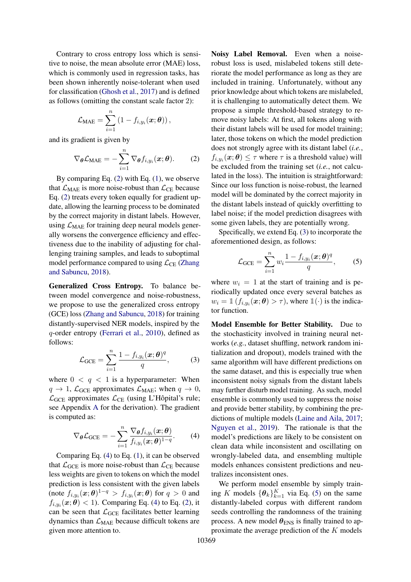Contrary to cross entropy loss which is sensitive to noise, the mean absolute error (MAE) loss, which is commonly used in regression tasks, has been shown inherently noise-tolerant when used for classification [\(Ghosh et al.,](#page-9-10) [2017\)](#page-9-10) and is defined as follows (omitting the constant scale factor 2):

$$
\mathcal{L}_{\text{MAE}} = \sum_{i=1}^{n} (1 - f_{i,y_i}(\boldsymbol{x}; \boldsymbol{\theta}))
$$

and its gradient is given by

<span id="page-2-0"></span>
$$
\nabla_{\boldsymbol{\theta}} \mathcal{L}_{\text{MAE}} = -\sum_{i=1}^{n} \nabla_{\boldsymbol{\theta}} f_{i, y_i}(\boldsymbol{x}; \boldsymbol{\theta}). \qquad (2)
$$

By comparing Eq.  $(2)$  with Eq.  $(1)$ , we observe that  $\mathcal{L}_{\text{MAE}}$  is more noise-robust than  $\mathcal{L}_{\text{CE}}$  because Eq. [\(2\)](#page-2-0) treats every token equally for gradient update, allowing the learning process to be dominated by the correct majority in distant labels. However, using  $\mathcal{L}_{\text{MAE}}$  for training deep neural models generally worsens the convergence efficiency and effectiveness due to the inability of adjusting for challenging training samples, and leads to suboptimal model performance compared to using  $\mathcal{L}_{CE}$  [\(Zhang](#page-10-3) [and Sabuncu,](#page-10-3) [2018\)](#page-10-3).

Generalized Cross Entropy. To balance between model convergence and noise-robustness, we propose to use the generalized cross entropy (GCE) loss [\(Zhang and Sabuncu,](#page-10-3) [2018\)](#page-10-3) for training distantly-supervised NER models, inspired by the q-order entropy [\(Ferrari et al.,](#page-9-11) [2010\)](#page-9-11), defined as follows:

<span id="page-2-2"></span>
$$
\mathcal{L}_{GCE} = \sum_{i=1}^{n} \frac{1 - f_{i,y_i}(\boldsymbol{x}; \boldsymbol{\theta})^q}{q},
$$
 (3)

where  $0 \lt q \lt 1$  is a hyperparameter: When  $q \to 1$ ,  $\mathcal{L}_{GCE}$  approximates  $\mathcal{L}_{MAE}$ ; when  $q \to 0$ ,  $\mathcal{L}_{GCE}$  approximates  $\mathcal{L}_{CE}$  (using L'Hôpital's rule; see Appendix [A](#page-10-4) for the derivation). The gradient is computed as:

<span id="page-2-1"></span>
$$
\nabla_{\boldsymbol{\theta}} \mathcal{L}_{\text{GCE}} = -\sum_{i=1}^{n} \frac{\nabla_{\boldsymbol{\theta}} f_{i,y_i}(\boldsymbol{x}; \boldsymbol{\theta})}{f_{i,y_i}(\boldsymbol{x}; \boldsymbol{\theta})^{1-q}}.
$$
 (4)

Comparing Eq. [\(4\)](#page-2-1) to Eq. [\(1\)](#page-1-0), it can be observed that  $\mathcal{L}_{GCE}$  is more noise-robust than  $\mathcal{L}_{CE}$  because less weights are given to tokens on which the model prediction is less consistent with the given labels (note  $f_{i,y_i}(\boldsymbol{x};\boldsymbol{\theta})^{1-q} > f_{i,y_i}(\boldsymbol{x};\boldsymbol{\theta})$  for  $q > 0$  and  $f_{i,y_i}(\boldsymbol{x};\boldsymbol{\theta}) < 1$ ). Comparing Eq. [\(4\)](#page-2-1) to Eq. [\(2\)](#page-2-0), it can be seen that  $\mathcal{L}_{GCE}$  facilitates better learning dynamics than  $\mathcal{L}_{\text{MAE}}$  because difficult tokens are given more attention to.

Noisy Label Removal. Even when a noiserobust loss is used, mislabeled tokens still deteriorate the model performance as long as they are included in training. Unfortunately, without any prior knowledge about which tokens are mislabeled, it is challenging to automatically detect them. We propose a simple threshold-based strategy to remove noisy labels: At first, all tokens along with their distant labels will be used for model training; later, those tokens on which the model prediction does not strongly agree with its distant label (*i.e.*,  $f_{i,y_i}(\boldsymbol{x};\boldsymbol{\theta}) \leq \tau$  where  $\tau$  is a threshold value) will be excluded from the training set (*i.e.*, not calculated in the loss). The intuition is straightforward: Since our loss function is noise-robust, the learned model will be dominated by the correct majority in the distant labels instead of quickly overfitting to label noise; if the model prediction disagrees with some given labels, they are potentially wrong.

Specifically, we extend Eq. [\(3\)](#page-2-2) to incorporate the aforementioned design, as follows:

<span id="page-2-3"></span>
$$
\mathcal{L}_{GCE} = \sum_{i=1}^{n} w_i \frac{1 - f_{i,y_i}(\boldsymbol{x}; \boldsymbol{\theta})^q}{q}, \qquad (5)
$$

where  $w_i = 1$  at the start of training and is periodically updated once every several batches as  $w_i = \mathbbm{1}(f_{i,y_i}(\boldsymbol{x};\boldsymbol{\theta}) > \tau)$ , where  $\mathbbm{1}(\cdot)$  is the indicator function.

Model Ensemble for Better Stability. Due to the stochasticity involved in training neural networks (*e.g.*, dataset shuffling, network random initialization and dropout), models trained with the same algorithm will have different predictions on the same dataset, and this is especially true when inconsistent noisy signals from the distant labels may further disturb model training. As such, model ensemble is commonly used to suppress the noise and provide better stability, by combining the predictions of multiple models [\(Laine and Aila,](#page-9-12) [2017;](#page-9-12) [Nguyen et al.,](#page-10-5) [2019\)](#page-10-5). The rationale is that the model's predictions are likely to be consistent on clean data while inconsistent and oscillating on wrongly-labeled data, and ensembling multiple models enhances consistent predictions and neutralizes inconsistent ones.

We perform model ensemble by simply training K models  $\{\theta_k\}_{k=1}^K$  via Eq. [\(5\)](#page-2-3) on the same distantly-labeled corpus with different random seeds controlling the randomness of the training process. A new model  $\theta_{\text{ENS}}$  is finally trained to approximate the average prediction of the  $K$  models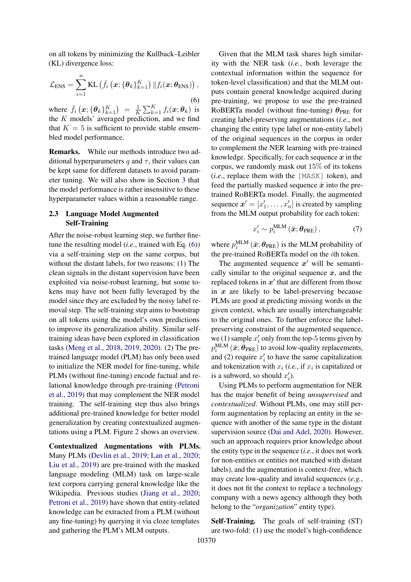<span id="page-3-0"></span>on all tokens by minimizing the Kullback–Leibler (KL) divergence loss:

$$
\mathcal{L}_{\text{ENS}} = \sum_{i=1}^{n} \text{KL}\left(\bar{f}_i\left(\bm{x}; \{\bm{\theta}_k\}_{k=1}^K\right) \| f_i(\bm{x}; \bm{\theta}_{\text{ENS}})\right),\tag{6}
$$

where  $\bar{f}_i(x; {\theta_k}_{k=1}^K) = \frac{1}{K}$  $\frac{1}{K}\sum_{k=1}^{K}f_i(\boldsymbol{x};\boldsymbol{\theta}_k)$  is the  $K$  models' averaged prediction, and we find that  $K = 5$  is sufficient to provide stable ensembled model performance.

Remarks. While our methods introduce two additional hyperparameters q and  $\tau$ , their values can be kept same for different datasets to avoid parameter tuning. We will also show in Section [3](#page-4-0) that the model performance is rather insensitive to these hyperparameter values within a reasonable range.

### 2.3 Language Model Augmented Self-Training

After the noise-robust learning step, we further finetune the resulting model (*i.e.*, trained with Eq. [\(6\)](#page-3-0)) via a self-training step on the same corpus, but without the distant labels, for two reasons: (1) The clean signals in the distant supervision have been exploited via noise-robust learning, but some tokens may have not been fully leveraged by the model since they are excluded by the noisy label removal step. The self-training step aims to bootstrap on all tokens using the model's own predictions to improve its generalization ability. Similar selftraining ideas have been explored in classification tasks [\(Meng et al.,](#page-9-13) [2018,](#page-9-13) [2019,](#page-9-14) [2020\)](#page-9-15). (2) The pretrained language model (PLM) has only been used to initialize the NER model for fine-tuning, while PLMs (without fine-tuning) encode factual and relational knowledge through pre-training [\(Petroni](#page-10-6) [et al.,](#page-10-6) [2019\)](#page-10-6) that may complement the NER model training. The self-training step thus also brings additional pre-trained knowledge for better model generalization by creating contextualized augmentations using a PLM. Figure [2](#page-4-1) shows an overview.

Contextualized Augmentations with PLMs. Many PLMs [\(Devlin et al.,](#page-9-4) [2019;](#page-9-4) [Lan et al.,](#page-9-16) [2020;](#page-9-16) [Liu et al.,](#page-9-9) [2019\)](#page-9-9) are pre-trained with the masked language modeling (MLM) task on large-scale text corpora carrying general knowledge like the Wikipedia. Previous studies [\(Jiang et al.,](#page-9-17) [2020;](#page-9-17) [Petroni et al.,](#page-10-6) [2019\)](#page-10-6) have shown that entity-related knowledge can be extracted from a PLM (without any fine-tuning) by querying it via cloze templates and gathering the PLM's MLM outputs.

Given that the MLM task shares high similarity with the NER task (*i.e.*, both leverage the contextual information within the sequence for token-level classification) and that the MLM outputs contain general knowledge acquired during pre-training, we propose to use the pre-trained RoBERTa model (without fine-tuning)  $\theta_{PRE}$  for creating label-preserving augmentations (*i.e.*, not changing the entity type label or non-entity label) of the original sequences in the corpus in order to complement the NER learning with pre-trained knowledge. Specifically, for each sequence  $x$  in the corpus, we randomly mask out 15% of its tokens (*i.e.*, replace them with the [MASK] token), and feed the partially masked sequence  $\hat{x}$  into the pretrained RoBERTa model. Finally, the augmented sequence  $\mathbf{x}' = [x'_1, \dots, x'_n]$  is created by sampling from the MLM output probability for each token:

<span id="page-3-1"></span>
$$
x_i' \sim p_i^{\text{MLM}}\left(\hat{\boldsymbol{x}}; \boldsymbol{\theta}_{\text{PRE}}\right),\tag{7}
$$

where  $p_i^{\text{MLM}}(\hat{\boldsymbol{x}}; \boldsymbol{\theta}_{\text{PRE}})$  is the MLM probability of the pre-trained RoBERTa model on the ith token.

The augmented sequence  $x'$  will be semantically similar to the original sequence  $x$ , and the replaced tokens in  $x'$  that are different from those in  $x$  are likely to be label-preserving because PLMs are good at predicting missing words in the given context, which are usually interchangeable to the original ones. To further enforce the labelpreserving constraint of the augmented sequence, we (1) sample  $x'_i$  only from the top-5 terms given by  $p_i^{\text{MLM}}\left( \hat{\boldsymbol{x}}; \boldsymbol{\theta}_{\text{PRE}} \right)$  to avoid low-quality replacements, and (2) require  $x_i'$  to have the same capitalization and tokenization with  $x_i$  (*i.e.*, if  $x_i$  is capitalized or is a subword, so should  $x'_i$ ).

Using PLMs to perform augmentation for NER has the major benefit of being *unsupervised* and *contextualized*. Without PLMs, one may still perform augmentation by replacing an entity in the sequence with another of the same type in the distant supervision source [\(Dai and Adel,](#page-9-18) [2020\)](#page-9-18). However, such an approach requires prior knowledge about the entity type in the sequence (*i.e.*, it does not work for non-entities or entities not matched with distant labels), and the augmentation is context-free, which may create low-quality and invalid sequences (*e.g.*, it does not fit the context to replace a technology company with a news agency although they both belong to the "*organization*" entity type).

Self-Training. The goals of self-training (ST) are two-fold: (1) use the model's high-confidence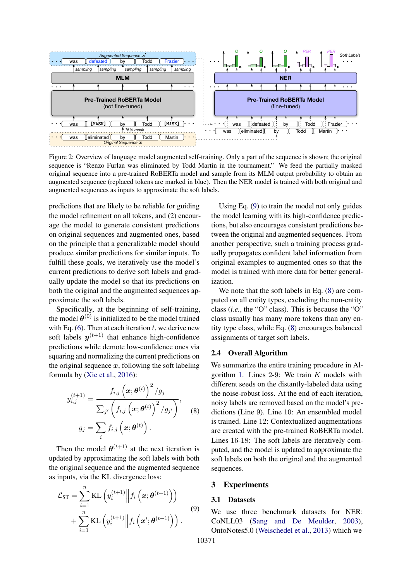<span id="page-4-1"></span>

Figure 2: Overview of language model augmented self-training. Only a part of the sequence is shown; the original sequence is "Renzo Furlan was eliminated by Todd Martin in the tournament." We feed the partially masked original sequence into a pre-trained RoBERTa model and sample from its MLM output probability to obtain an augmented sequence (replaced tokens are marked in blue). Then the NER model is trained with both original and augmented sequences as inputs to approximate the soft labels.

predictions that are likely to be reliable for guiding the model refinement on all tokens, and (2) encourage the model to generate consistent predictions on original sequences and augmented ones, based on the principle that a generalizable model should produce similar predictions for similar inputs. To fulfill these goals, we iteratively use the model's current predictions to derive soft labels and gradually update the model so that its predictions on both the original and the augmented sequences approximate the soft labels.

Specifically, at the beginning of self-training, the model  $\theta^{(0)}$  is initialized to be the model trained with Eq.  $(6)$ . Then at each iteration t, we derive new soft labels  $y^{(t+1)}$  that enhance high-confidence predictions while demote low-confidence ones via squaring and normalizing the current predictions on the original sequence  $x$ , following the soft labeling formula by [\(Xie et al.,](#page-10-7) [2016\)](#page-10-7):

$$
y_{i,j}^{(t+1)} = \frac{f_{i,j}(\bm{x}; \bm{\theta}^{(t)})^2 / g_j}{\sum_{j'} (f_{i,j}(\bm{x}; \bm{\theta}^{(t)})^2 / g_{j'})},
$$
  

$$
g_j = \sum_i f_{i,j}(\bm{x}; \bm{\theta}^{(t)}).
$$
 (8)

Then the model  $\theta^{(t+1)}$  at the next iteration is updated by approximating the soft labels with both the original sequence and the augmented sequence as inputs, via the KL divergence loss:

$$
\mathcal{L}_{ST} = \sum_{i=1}^{n} \text{KL}\left(y_i^{(t+1)} \middle\| f_i\left(\boldsymbol{x}; \boldsymbol{\theta}^{(t+1)}\right) \right) \n+ \sum_{i=1}^{n} \text{KL}\left(y_i^{(t+1)} \middle\| f_i\left(\boldsymbol{x}'; \boldsymbol{\theta}^{(t+1)}\right) \right).
$$
\n(9)

Using Eq. [\(9\)](#page-4-2) to train the model not only guides the model learning with its high-confidence predictions, but also encourages consistent predictions between the original and augmented sequences. From another perspective, such a training process gradually propagates confident label information from original examples to augmented ones so that the model is trained with more data for better generalization.

We note that the soft labels in Eq. [\(8\)](#page-4-3) are computed on all entity types, excluding the non-entity class (*i.e.*, the "O" class). This is because the "O" class usually has many more tokens than any entity type class, while Eq. [\(8\)](#page-4-3) encourages balanced assignments of target soft labels.

### 2.4 Overall Algorithm

<span id="page-4-3"></span>We summarize the entire training procedure in Al-gorithm [1.](#page-5-0) Lines 2-9: We train  $K$  models with different seeds on the distantly-labeled data using the noise-robust loss. At the end of each iteration, noisy labels are removed based on the model's predictions (Line 9). Line 10: An ensembled model is trained. Line 12: Contextualized augmentations are created with the pre-trained RoBERTa model. Lines 16-18: The soft labels are iteratively computed, and the model is updated to approximate the soft labels on both the original and the augmented sequences.

#### <span id="page-4-0"></span>3 Experiments

#### <span id="page-4-2"></span>3.1 Datasets

We use three benchmark datasets for NER: CoNLL03 [\(Sang and De Meulder,](#page-10-8) [2003\)](#page-10-8), OntoNotes5.0 [\(Weischedel et al.,](#page-10-9) [2013\)](#page-10-9) which we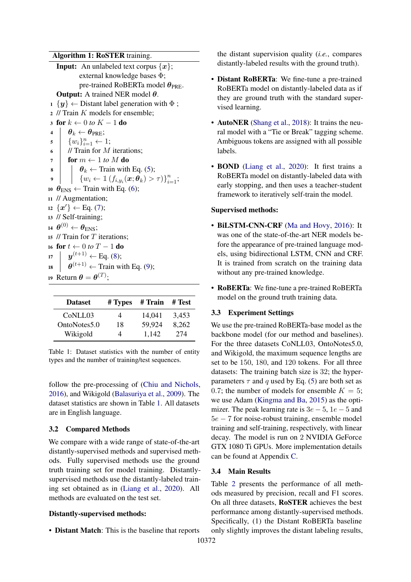#### Algorithm 1: RoSTER training.

<span id="page-5-0"></span>**Input:** An unlabeled text corpus  $\{x\}$ ; external knowledge bases Φ; pre-trained RoBERTa model  $\theta_{PRE}$ . **Output:** A trained NER model  $\theta$ .  $1 \{y\} \leftarrow$  Distant label generation with  $\Phi$ ; <sup>2</sup> // Train K models for ensemble; 3 for  $k \leftarrow 0$  *to*  $K - 1$  do<br>4  $\theta_k \leftarrow \theta_{\text{PRE}}$ ; 4  $\theta_k \leftarrow \theta_{PRE};$ <br>5  $\{w_i\}_{i=1}^n \leftarrow$  $\mathfrak{s} \ \ \ \ \ \ \ \{w_i\}_{i=1}^n \leftarrow 1;$  $\bullet$  // Train for M iterations: 7 **for**  $m \leftarrow 1$  *to* M **do**  $\mathbf{s}$  |  $\theta_k \leftarrow$  Train with Eq. [\(5\)](#page-2-3); 9  $\Big\vert \quad \Big\vert \quad \{ w_i \leftarrow \mathbb{1} \left( f_{i,y_i}(\bm{x}; \bm{\theta}_k) > \tau \right) \}_{i=1}^n;$ 10  $\theta_{\text{ENS}} \leftarrow$  Train with Eq. [\(6\)](#page-3-0); <sup>11</sup> // Augmentation; 12  $\{x'\}\leftarrow$  Eq. [\(7\)](#page-3-1); <sup>13</sup> // Self-training; 14  $\boldsymbol{\theta}^{(0)} \leftarrow \boldsymbol{\theta}_{\text{ENS}};$ 15  $\#$  Train for  $T$  iterations; 16 **for**  $t$  ← 0 *to*  $T$  – 1 **do**<br>17  $\boldsymbol{u}^{(t+1)}$  ← Eq. (8): 17  $\boldsymbol{y}^{(t+1)} \leftarrow$  Eq. [\(8\)](#page-4-3); 18  $\theta^{(t+1)} \leftarrow \text{Train with Eq. (9)}$  $\theta^{(t+1)} \leftarrow \text{Train with Eq. (9)}$  $\theta^{(t+1)} \leftarrow \text{Train with Eq. (9)}$ ; 19 Return  $\boldsymbol{\theta} = \boldsymbol{\theta}^{(T)}$ ;

<span id="page-5-1"></span>

| <b>Dataset</b> | # Types | # Train | # Test |
|----------------|---------|---------|--------|
| CoNLL03        | 4       | 14.041  | 3.453  |
| OntoNotes5.0   | 18      | 59,924  | 8,262  |
| Wikigold       |         | 1.142   | 274    |

Table 1: Dataset statistics with the number of entity types and the number of training/test sequences.

follow the pre-processing of [\(Chiu and Nichols,](#page-9-19) [2016\)](#page-9-19), and Wikigold [\(Balasuriya et al.,](#page-9-20) [2009\)](#page-9-20). The dataset statistics are shown in Table [1.](#page-5-1) All datasets are in English language.

### 3.2 Compared Methods

We compare with a wide range of state-of-the-art distantly-supervised methods and supervised methods. Fully supervised methods use the ground truth training set for model training. Distantlysupervised methods use the distantly-labeled training set obtained as in [\(Liang et al.,](#page-9-8) [2020\)](#page-9-8). All methods are evaluated on the test set.

#### Distantly-supervised methods:

• Distant Match: This is the baseline that reports

the distant supervision quality (*i.e.*, compares distantly-labeled results with the ground truth).

- Distant RoBERTa: We fine-tune a pre-trained RoBERTa model on distantly-labeled data as if they are ground truth with the standard supervised learning.
- AutoNER [\(Shang et al.,](#page-10-0) [2018\)](#page-10-0): It trains the neural model with a "Tie or Break" tagging scheme. Ambiguous tokens are assigned with all possible labels.
- **BOND** [\(Liang et al.,](#page-9-8) [2020\)](#page-9-8): It first trains a RoBERTa model on distantly-labeled data with early stopping, and then uses a teacher-student framework to iteratively self-train the model.

### Supervised methods:

- BiLSTM-CNN-CRF [\(Ma and Hovy,](#page-9-7) [2016\)](#page-9-7): It was one of the state-of-the-art NER models before the appearance of pre-trained language models, using bidirectional LSTM, CNN and CRF. It is trained from scratch on the training data without any pre-trained knowledge.
- RoBERTa: We fine-tune a pre-trained RoBERTa model on the ground truth training data.

### 3.3 Experiment Settings

We use the pre-trained RoBERTa-base model as the backbone model (for our method and baselines). For the three datasets CoNLL03, OntoNotes5.0, and Wikigold, the maximum sequence lengths are set to be 150, 180, and 120 tokens. For all three datasets: The training batch size is 32; the hyperparameters  $\tau$  and q used by Eq. [\(5\)](#page-2-3) are both set as 0.7; the number of models for ensemble  $K = 5$ ; we use Adam [\(Kingma and Ba,](#page-9-21) [2015\)](#page-9-21) as the optimizer. The peak learning rate is  $3e - 5$ ,  $1e - 5$  and 5e − 7 for noise-robust training, ensemble model training and self-training, respectively, with linear decay. The model is run on 2 NVIDIA GeForce GTX 1080 Ti GPUs. More implementation details can be found at Appendix [C.](#page-11-0)

### 3.4 Main Results

Table [2](#page-6-0) presents the performance of all methods measured by precision, recall and F1 scores. On all three datasets, RoSTER achieves the best performance among distantly-supervised methods. Specifically, (1) the Distant RoBERTa baseline only slightly improves the distant labeling results,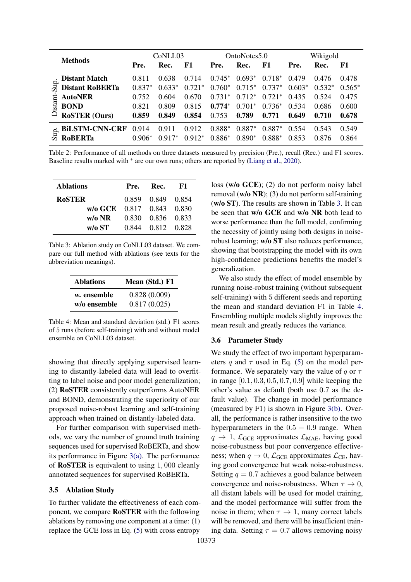<span id="page-6-0"></span>

|                 |                        | CoNLL03  |          | OntoNotes5.0 |          | Wikigold |          |          |          |          |
|-----------------|------------------------|----------|----------|--------------|----------|----------|----------|----------|----------|----------|
| <b>Methods</b>  | Pre.                   | Rec.     | F1       | Pre.         | Rec.     | F1       | Pre.     | Rec.     | F1       |          |
| Sup.<br>istant- | <b>Distant Match</b>   | 0.811    | 0.638    | 0.714        | $0.745*$ | $0.693*$ | $0.718*$ | 0.479    | 0.476    | 0.478    |
|                 | <b>Distant RoBERTa</b> | $0.837*$ | $0.633*$ | $0.721*$     | $0.760*$ | $0.715*$ | $0.737*$ | $0.603*$ | $0.532*$ | $0.565*$ |
|                 | <b>AutoNER</b>         | 0.752    | 0.604    | 0.670        | $0.731*$ | $0.712*$ | $0.721*$ | 0.435    | 0.524    | 0.475    |
|                 | <b>BOND</b>            | 0.821    | 0.809    | 0.815        | $0.774*$ | $0.701*$ | $0.736*$ | 0.534    | 0.686    | 0.600    |
|                 | <b>RoSTER (Ours)</b>   | 0.859    | 0.849    | 0.854        | 0.753    | 0.789    | 0.771    | 0.649    | 0.710    | 0.678    |
|                 | <b>BILSTM-CNN-CRF</b>  | 0.914    | 0.911    | 0.912        | $0.888*$ | $0.887*$ | $0.887*$ | 0.554    | 0.543    | 0.549    |
| Sup.            | <b>ROBERTA</b>         | $0.906*$ | $0.917*$ | $0.912*$     | $0.886*$ | $0.890*$ | $0.888*$ | 0.853    | 0.876    | 0.864    |

Table 2: Performance of all methods on three datasets measured by precision (Pre.), recall (Rec.) and F1 scores. Baseline results marked with ∗ are our own runs; others are reported by [\(Liang et al.,](#page-9-8) [2020\)](#page-9-8).

<span id="page-6-1"></span>

| <b>Ablations</b>                       | Pre. | Rec.              | -KT |
|----------------------------------------|------|-------------------|-----|
| <b>RoSTER</b>                          |      | 0.859 0.849 0.854 |     |
| $w/\sigma$ GCE $0.817$ $0.843$ $0.830$ |      |                   |     |
| $w/o$ NR                               |      | 0.830 0.836 0.833 |     |
| $w/o$ ST                               |      | 0.844 0.812 0.828 |     |

Table 3: Ablation study on CoNLL03 dataset. We compare our full method with ablations (see texts for the abbreviation meanings).

<span id="page-6-2"></span>

| <b>Ablations</b> | Mean (Std.) F1 |
|------------------|----------------|
| w. ensemble      | 0.828(0.009)   |
| w/o ensemble     | 0.817(0.025)   |

Table 4: Mean and standard deviation (std.) F1 scores of 5 runs (before self-training) with and without model ensemble on CoNLL03 dataset.

showing that directly applying supervised learning to distantly-labeled data will lead to overfitting to label noise and poor model generalization; (2) RoSTER consistently outperforms AutoNER and BOND, demonstrating the superiority of our proposed noise-robust learning and self-training approach when trained on distantly-labeled data.

For further comparison with supervised methods, we vary the number of ground truth training sequences used for supervised RoBERTa, and show its performance in Figure [3\(a\).](#page-7-0) The performance of RoSTER is equivalent to using 1, 000 cleanly annotated sequences for supervised RoBERTa.

#### 3.5 Ablation Study

To further validate the effectiveness of each component, we compare RoSTER with the following ablations by removing one component at a time: (1) replace the GCE loss in Eq. [\(5\)](#page-2-3) with cross entropy

loss (w/o GCE); (2) do not perform noisy label removal (w/o NR); (3) do not perform self-training (w/o ST). The results are shown in Table [3.](#page-6-1) It can be seen that w/o GCE and w/o NR both lead to worse performance than the full model, confirming the necessity of jointly using both designs in noiserobust learning; w/o ST also reduces performance, showing that bootstrapping the model with its own high-confidence predictions benefits the model's generalization.

We also study the effect of model ensemble by running noise-robust training (without subsequent self-training) with 5 different seeds and reporting the mean and standard deviation F1 in Table [4.](#page-6-2) Ensembling multiple models slightly improves the mean result and greatly reduces the variance.

#### 3.6 Parameter Study

We study the effect of two important hyperparameters q and  $\tau$  used in Eq. [\(5\)](#page-2-3) on the model performance. We separately vary the value of  $q$  or  $\tau$ in range  $[0.1, 0.3, 0.5, 0.7, 0.9]$  while keeping the other's value as default (both use 0.7 as the default value). The change in model performance (measured by F1) is shown in Figure [3\(b\).](#page-7-1) Overall, the performance is rather insensitive to the two hyperparameters in the  $0.5 - 0.9$  range. When  $q \rightarrow 1$ ,  $\mathcal{L}_{GCE}$  approximates  $\mathcal{L}_{MAE}$ , having good noise-robustness but poor convergence effectiveness; when  $q \to 0$ ,  $\mathcal{L}_{GCE}$  approximates  $\mathcal{L}_{CE}$ , having good convergence but weak noise-robustness. Setting  $q = 0.7$  achieves a good balance between convergence and noise-robustness. When  $\tau \to 0$ , all distant labels will be used for model training, and the model performance will suffer from the noise in them; when  $\tau \to 1$ , many correct labels will be removed, and there will be insufficient training data. Setting  $\tau = 0.7$  allows removing noisy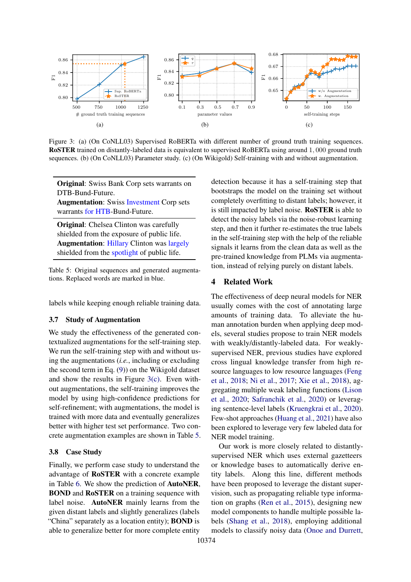<span id="page-7-0"></span>

Figure 3: (a) (On CoNLL03) Supervised RoBERTa with different number of ground truth training sequences. RoSTER trained on distantly-labeled data is equivalent to supervised RoBERTa using around 1, 000 ground truth sequences. (b) (On CoNLL03) Parameter study. (c) (On Wikigold) Self-training with and without augmentation.

<span id="page-7-3"></span>Original: Swiss Bank Corp sets warrants on DTB-Bund-Future.

Augmentation: Swiss Investment Corp sets warrants for HTB-Bund-Future.

Original: Chelsea Clinton was carefully shielded from the exposure of public life. Augmentation: Hillary Clinton was largely shielded from the spotlight of public life.

Table 5: Original sequences and generated augmentations. Replaced words are marked in blue.

labels while keeping enough reliable training data.

#### 3.7 Study of Augmentation

We study the effectiveness of the generated contextualized augmentations for the self-training step. We run the self-training step with and without using the augmentations (*i.e.*, including or excluding the second term in Eq. [\(9\)](#page-4-2)) on the Wikigold dataset and show the results in Figure [3\(c\).](#page-7-2) Even without augmentations, the self-training improves the model by using high-confidence predictions for self-refinement; with augmentations, the model is trained with more data and eventually generalizes better with higher test set performance. Two concrete augmentation examples are shown in Table [5.](#page-7-3)

### 3.8 Case Study

Finally, we perform case study to understand the advantage of RoSTER with a concrete example in Table [6.](#page-8-0) We show the prediction of AutoNER, BOND and RoSTER on a training sequence with label noise. AutoNER mainly learns from the given distant labels and slightly generalizes (labels "China" separately as a location entity); BOND is able to generalize better for more complete entity

<span id="page-7-2"></span><span id="page-7-1"></span>detection because it has a self-training step that bootstraps the model on the training set without completely overfitting to distant labels; however, it is still impacted by label noise. RoSTER is able to detect the noisy labels via the noise-robust learning step, and then it further re-estimates the true labels in the self-training step with the help of the reliable signals it learns from the clean data as well as the pre-trained knowledge from PLMs via augmentation, instead of relying purely on distant labels.

#### 4 Related Work

The effectiveness of deep neural models for NER usually comes with the cost of annotating large amounts of training data. To alleviate the human annotation burden when applying deep models, several studies propose to train NER models with weakly/distantly-labeled data. For weaklysupervised NER, previous studies have explored cross lingual knowledge transfer from high resource languages to low resource languages [\(Feng](#page-9-22) [et al.,](#page-9-22) [2018;](#page-9-22) [Ni et al.,](#page-10-10) [2017;](#page-10-10) [Xie et al.,](#page-10-11) [2018\)](#page-10-11), aggregating multiple weak labeling functions [\(Lison](#page-9-23) [et al.,](#page-9-23) [2020;](#page-9-23) [Safranchik et al.,](#page-10-12) [2020\)](#page-10-12) or leveraging sentence-level labels [\(Kruengkrai et al.,](#page-9-24) [2020\)](#page-9-24). Few-shot approaches [\(Huang et al.,](#page-9-25) [2021\)](#page-9-25) have also been explored to leverage very few labeled data for NER model training.

Our work is more closely related to distantlysupervised NER which uses external gazetteers or knowledge bases to automatically derive entity labels. Along this line, different methods have been proposed to leverage the distant supervision, such as propagating reliable type information on graphs [\(Ren et al.,](#page-10-13) [2015\)](#page-10-13), designing new model components to handle multiple possible labels [\(Shang et al.,](#page-10-0) [2018\)](#page-10-0), employing additional models to classify noisy data [\(Onoe and Durrett,](#page-10-1)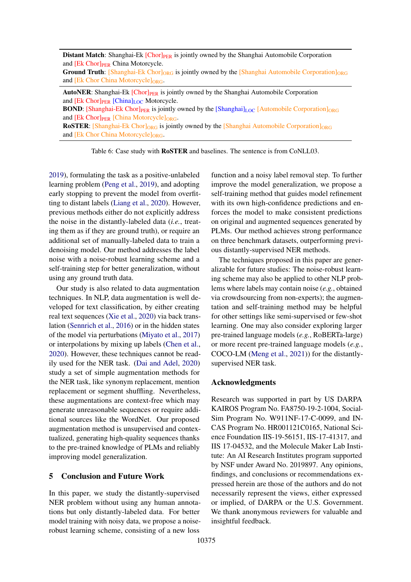<span id="page-8-0"></span>**Distant Match:** Shanghai-Ek [Chor]<sub>PER</sub> is jointly owned by the Shanghai Automobile Corporation and [Ek Chor]<sub>PER</sub> China Motorcycle.

**Ground Truth:** [Shanghai-Ek Chor]<sub>ORG</sub> is jointly owned by the [Shanghai Automobile Corporation]<sub>ORG</sub> and [Ek Chor China Motorcycle] $_{ORG}$ .

**AutoNER:** Shanghai-Ek  $[Chor]_{PER}$  is jointly owned by the Shanghai Automobile Corporation and [Ek Chor]<sub>PER</sub> [China]<sub>LOC</sub> Motorcycle.

**BOND:** [Shanghai-Ek Chor] $_{PER}$  is jointly owned by the  $[Shanghail]_{LOC}$  [Automobile Corporation] $_{ORG}$ and  $[Ek Chor]_{PER}$   $[China Motorcycle]_{ORG}$ .

**ROSTER:** [Shanghai-Ek Chor]<sub>ORG</sub> is jointly owned by the [Shanghai Automobile Corporation]<sub>ORG</sub> and [Ek Chor China Motorcycle]<sub>ORG</sub>.

Table 6: Case study with RoSTER and baselines. The sentence is from CoNLL03.

[2019\)](#page-10-1), formulating the task as a positive-unlabeled learning problem [\(Peng et al.,](#page-10-14) [2019\)](#page-10-14), and adopting early stopping to prevent the model from overfitting to distant labels [\(Liang et al.,](#page-9-8) [2020\)](#page-9-8). However, previous methods either do not explicitly address the noise in the distantly-labeled data (*i.e.*, treating them as if they are ground truth), or require an additional set of manually-labeled data to train a denoising model. Our method addresses the label noise with a noise-robust learning scheme and a self-training step for better generalization, without using any ground truth data.

Our study is also related to data augmentation techniques. In NLP, data augmentation is well developed for text classification, by either creating real text sequences [\(Xie et al.,](#page-10-15) [2020\)](#page-10-15) via back translation [\(Sennrich et al.,](#page-10-16) [2016\)](#page-10-16) or in the hidden states of the model via perturbations [\(Miyato et al.,](#page-10-17) [2017\)](#page-10-17) or interpolations by mixing up labels [\(Chen et al.,](#page-9-26) [2020\)](#page-9-26). However, these techniques cannot be readily used for the NER task. [\(Dai and Adel,](#page-9-18) [2020\)](#page-9-18) study a set of simple augmentation methods for the NER task, like synonym replacement, mention replacement or segment shuffling. Nevertheless, these augmentations are context-free which may generate unreasonable sequences or require additional sources like the WordNet. Our proposed augmentation method is unsupervised and contextualized, generating high-quality sequences thanks to the pre-trained knowledge of PLMs and reliably improving model generalization.

### 5 Conclusion and Future Work

In this paper, we study the distantly-supervised NER problem without using any human annotations but only distantly-labeled data. For better model training with noisy data, we propose a noiserobust learning scheme, consisting of a new loss

function and a noisy label removal step. To further improve the model generalization, we propose a self-training method that guides model refinement with its own high-confidence predictions and enforces the model to make consistent predictions on original and augmented sequences generated by PLMs. Our method achieves strong performance on three benchmark datasets, outperforming previous distantly-supervised NER methods.

The techniques proposed in this paper are generalizable for future studies: The noise-robust learning scheme may also be applied to other NLP problems where labels may contain noise (*e.g.*, obtained via crowdsourcing from non-experts); the augmentation and self-training method may be helpful for other settings like semi-supervised or few-shot learning. One may also consider exploring larger pre-trained language models (*e.g.*, RoBERTa-large) or more recent pre-trained language models (*e.g.*, COCO-LM [\(Meng et al.,](#page-9-27) [2021\)](#page-9-27)) for the distantlysupervised NER task.

#### Acknowledgments

Research was supported in part by US DARPA KAIROS Program No. FA8750-19-2-1004, Social-Sim Program No. W911NF-17-C-0099, and IN-CAS Program No. HR001121C0165, National Science Foundation IIS-19-56151, IIS-17-41317, and IIS 17-04532, and the Molecule Maker Lab Institute: An AI Research Institutes program supported by NSF under Award No. 2019897. Any opinions, findings, and conclusions or recommendations expressed herein are those of the authors and do not necessarily represent the views, either expressed or implied, of DARPA or the U.S. Government. We thank anonymous reviewers for valuable and insightful feedback.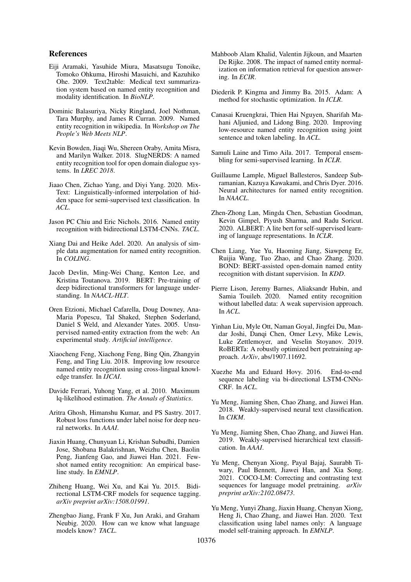### References

- <span id="page-9-2"></span>Eiji Aramaki, Yasuhide Miura, Masatsugu Tonoike, Tomoko Ohkuma, Hiroshi Masuichi, and Kazuhiko Ohe. 2009. Text2table: Medical text summarization system based on named entity recognition and modality identification. In *BioNLP*.
- <span id="page-9-20"></span>Dominic Balasuriya, Nicky Ringland, Joel Nothman, Tara Murphy, and James R Curran. 2009. Named entity recognition in wikipedia. In *Workshop on The People's Web Meets NLP*.
- <span id="page-9-3"></span>Kevin Bowden, Jiaqi Wu, Shereen Oraby, Amita Misra, and Marilyn Walker. 2018. SlugNERDS: A named entity recognition tool for open domain dialogue systems. In *LREC 2018*.
- <span id="page-9-26"></span>Jiaao Chen, Zichao Yang, and Diyi Yang. 2020. Mix-Text: Linguistically-informed interpolation of hidden space for semi-supervised text classification. In *ACL*.
- <span id="page-9-19"></span>Jason PC Chiu and Eric Nichols. 2016. Named entity recognition with bidirectional LSTM-CNNs. *TACL*.
- <span id="page-9-18"></span>Xiang Dai and Heike Adel. 2020. An analysis of simple data augmentation for named entity recognition. In *COLING*.
- <span id="page-9-4"></span>Jacob Devlin, Ming-Wei Chang, Kenton Lee, and Kristina Toutanova. 2019. BERT: Pre-training of deep bidirectional transformers for language understanding. In *NAACL-HLT*.
- <span id="page-9-1"></span>Oren Etzioni, Michael Cafarella, Doug Downey, Ana-Maria Popescu, Tal Shaked, Stephen Soderland, Daniel S Weld, and Alexander Yates. 2005. Unsupervised named-entity extraction from the web: An experimental study. *Artificial intelligence*.
- <span id="page-9-22"></span>Xiaocheng Feng, Xiachong Feng, Bing Qin, Zhangyin Feng, and Ting Liu. 2018. Improving low resource named entity recognition using cross-lingual knowledge transfer. In *IJCAI*.
- <span id="page-9-11"></span>Davide Ferrari, Yuhong Yang, et al. 2010. Maximum lq-likelihood estimation. *The Annals of Statistics*.
- <span id="page-9-10"></span>Aritra Ghosh, Himanshu Kumar, and PS Sastry. 2017. Robust loss functions under label noise for deep neural networks. In *AAAI*.
- <span id="page-9-25"></span>Jiaxin Huang, Chunyuan Li, Krishan Subudhi, Damien Jose, Shobana Balakrishnan, Weizhu Chen, Baolin Peng, Jianfeng Gao, and Jiawei Han. 2021. Fewshot named entity recognition: An empirical baseline study. In *EMNLP*.
- <span id="page-9-5"></span>Zhiheng Huang, Wei Xu, and Kai Yu. 2015. Bidirectional LSTM-CRF models for sequence tagging. *arXiv preprint arXiv:1508.01991*.
- <span id="page-9-17"></span>Zhengbao Jiang, Frank F Xu, Jun Araki, and Graham Neubig. 2020. How can we know what language models know? *TACL*.
- <span id="page-9-0"></span>Mahboob Alam Khalid, Valentin Jijkoun, and Maarten De Rijke. 2008. The impact of named entity normalization on information retrieval for question answering. In *ECIR*.
- <span id="page-9-21"></span>Diederik P. Kingma and Jimmy Ba. 2015. Adam: A method for stochastic optimization. In *ICLR*.
- <span id="page-9-24"></span>Canasai Kruengkrai, Thien Hai Nguyen, Sharifah Mahani Aljunied, and Lidong Bing. 2020. Improving low-resource named entity recognition using joint sentence and token labeling. In *ACL*.
- <span id="page-9-12"></span>Samuli Laine and Timo Aila. 2017. Temporal ensembling for semi-supervised learning. In *ICLR*.
- <span id="page-9-6"></span>Guillaume Lample, Miguel Ballesteros, Sandeep Subramanian, Kazuya Kawakami, and Chris Dyer. 2016. Neural architectures for named entity recognition. In *NAACL*.
- <span id="page-9-16"></span>Zhen-Zhong Lan, Mingda Chen, Sebastian Goodman, Kevin Gimpel, Piyush Sharma, and Radu Soricut. 2020. ALBERT: A lite bert for self-supervised learning of language representations. In *ICLR*.
- <span id="page-9-8"></span>Chen Liang, Yue Yu, Haoming Jiang, Siawpeng Er, Ruijia Wang, Tuo Zhao, and Chao Zhang. 2020. BOND: BERT-assisted open-domain named entity recognition with distant supervision. In *KDD*.
- <span id="page-9-23"></span>Pierre Lison, Jeremy Barnes, Aliaksandr Hubin, and Samia Touileb. 2020. Named entity recognition without labelled data: A weak supervision approach. In *ACL*.
- <span id="page-9-9"></span>Yinhan Liu, Myle Ott, Naman Goyal, Jingfei Du, Mandar Joshi, Danqi Chen, Omer Levy, Mike Lewis, Luke Zettlemoyer, and Veselin Stoyanov. 2019. RoBERTa: A robustly optimized bert pretraining approach. *ArXiv*, abs/1907.11692.
- <span id="page-9-7"></span>Xuezhe Ma and Eduard Hovy. 2016. End-to-end sequence labeling via bi-directional LSTM-CNNs-CRF. In *ACL*.
- <span id="page-9-13"></span>Yu Meng, Jiaming Shen, Chao Zhang, and Jiawei Han. 2018. Weakly-supervised neural text classification. In *CIKM*.
- <span id="page-9-14"></span>Yu Meng, Jiaming Shen, Chao Zhang, and Jiawei Han. 2019. Weakly-supervised hierarchical text classification. In *AAAI*.
- <span id="page-9-27"></span>Yu Meng, Chenyan Xiong, Payal Bajaj, Saurabh Tiwary, Paul Bennett, Jiawei Han, and Xia Song. 2021. COCO-LM: Correcting and contrasting text sequences for language model pretraining. *arXiv preprint arXiv:2102.08473*.
- <span id="page-9-15"></span>Yu Meng, Yunyi Zhang, Jiaxin Huang, Chenyan Xiong, Heng Ji, Chao Zhang, and Jiawei Han. 2020. Text classification using label names only: A language model self-training approach. In *EMNLP*.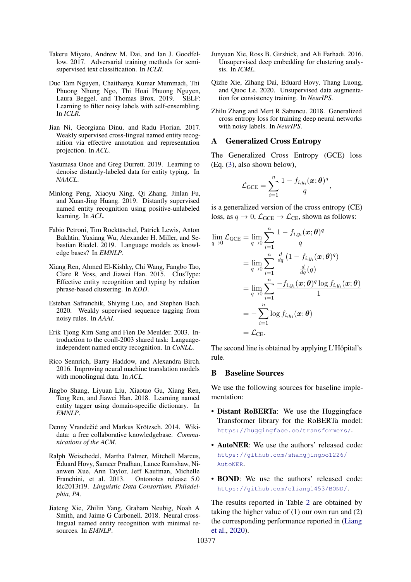- <span id="page-10-17"></span>Takeru Miyato, Andrew M. Dai, and Ian J. Goodfellow. 2017. Adversarial training methods for semisupervised text classification. In *ICLR*.
- <span id="page-10-5"></span>Duc Tam Nguyen, Chaithanya Kumar Mummadi, Thi Phuong Nhung Ngo, Thi Hoai Phuong Nguyen, Laura Beggel, and Thomas Brox. 2019. SELF: Learning to filter noisy labels with self-ensembling. In *ICLR*.
- <span id="page-10-10"></span>Jian Ni, Georgiana Dinu, and Radu Florian. 2017. Weakly supervised cross-lingual named entity recognition via effective annotation and representation projection. In *ACL*.
- <span id="page-10-1"></span>Yasumasa Onoe and Greg Durrett. 2019. Learning to denoise distantly-labeled data for entity typing. In *NAACL*.
- <span id="page-10-14"></span>Minlong Peng, Xiaoyu Xing, Qi Zhang, Jinlan Fu, and Xuan-Jing Huang. 2019. Distantly supervised named entity recognition using positive-unlabeled learning. In *ACL*.
- <span id="page-10-6"></span>Fabio Petroni, Tim Rocktäschel, Patrick Lewis, Anton Bakhtin, Yuxiang Wu, Alexander H. Miller, and Sebastian Riedel. 2019. Language models as knowledge bases? In *EMNLP*.
- <span id="page-10-13"></span>Xiang Ren, Ahmed El-Kishky, Chi Wang, Fangbo Tao, Clare R Voss, and Jiawei Han. 2015. ClusType: Effective entity recognition and typing by relation phrase-based clustering. In *KDD*.
- <span id="page-10-12"></span>Esteban Safranchik, Shiying Luo, and Stephen Bach. 2020. Weakly supervised sequence tagging from noisy rules. In *AAAI*.
- <span id="page-10-8"></span>Erik Tjong Kim Sang and Fien De Meulder. 2003. Introduction to the conll-2003 shared task: Languageindependent named entity recognition. In *CoNLL*.
- <span id="page-10-16"></span>Rico Sennrich, Barry Haddow, and Alexandra Birch. 2016. Improving neural machine translation models with monolingual data. In *ACL*.
- <span id="page-10-0"></span>Jingbo Shang, Liyuan Liu, Xiaotao Gu, Xiang Ren, Teng Ren, and Jiawei Han. 2018. Learning named entity tagger using domain-specific dictionary. In *EMNLP*.
- <span id="page-10-2"></span>Denny Vrandečić and Markus Krötzsch. 2014. Wikidata: a free collaborative knowledgebase. *Communications of the ACM*.
- <span id="page-10-9"></span>Ralph Weischedel, Martha Palmer, Mitchell Marcus, Eduard Hovy, Sameer Pradhan, Lance Ramshaw, Nianwen Xue, Ann Taylor, Jeff Kaufman, Michelle Franchini, et al. 2013. Ontonotes release 5.0 ldc2013t19. *Linguistic Data Consortium, Philadelphia, PA*.
- <span id="page-10-11"></span>Jiateng Xie, Zhilin Yang, Graham Neubig, Noah A Smith, and Jaime G Carbonell. 2018. Neural crosslingual named entity recognition with minimal resources. In *EMNLP*.
- <span id="page-10-7"></span>Junyuan Xie, Ross B. Girshick, and Ali Farhadi. 2016. Unsupervised deep embedding for clustering analysis. In *ICML*.
- <span id="page-10-15"></span>Qizhe Xie, Zihang Dai, Eduard Hovy, Thang Luong, and Quoc Le. 2020. Unsupervised data augmentation for consistency training. In *NeurIPS*.
- <span id="page-10-3"></span>Zhilu Zhang and Mert R Sabuncu. 2018. Generalized cross entropy loss for training deep neural networks with noisy labels. In *NeurIPS*.

#### <span id="page-10-4"></span>A Generalized Cross Entropy

The Generalized Cross Entropy (GCE) loss (Eq. [\(3\)](#page-2-2), also shown below),

$$
\mathcal{L}_{\text{GCE}} = \sum_{i=1}^{n} \frac{1 - f_{i,y_i}(\boldsymbol{x}; \boldsymbol{\theta})^q}{q},
$$

is a generalized version of the cross entropy (CE) loss, as  $q \to 0$ ,  $\mathcal{L}_{GCE} \to \mathcal{L}_{CE}$ , shown as follows:

$$
\lim_{q \to 0} \mathcal{L}_{GCE} = \lim_{q \to 0} \sum_{i=1}^{n} \frac{1 - f_{i,y_i}(\boldsymbol{x}; \boldsymbol{\theta})^q}{q}
$$
\n
$$
= \lim_{q \to 0} \sum_{i=1}^{n} \frac{\frac{d}{dq} (1 - f_{i,y_i}(\boldsymbol{x}; \boldsymbol{\theta})^q)}{\frac{d}{dq}(q)}
$$
\n
$$
= \lim_{q \to 0} \sum_{i=1}^{n} \frac{-f_{i,y_i}(\boldsymbol{x}; \boldsymbol{\theta})^q \log f_{i,y_i}(\boldsymbol{x}; \boldsymbol{\theta})}{1}
$$
\n
$$
= -\sum_{i=1}^{n} \log f_{i,y_i}(\boldsymbol{x}; \boldsymbol{\theta})
$$
\n
$$
= \mathcal{L}_{CE}.
$$

The second line is obtained by applying L'Hôpital's rule.

#### B Baseline Sources

We use the following sources for baseline implementation:

- Distant RoBERTa: We use the Huggingface Transformer library for the RoBERTa model: <https://huggingface.co/transformers/>.
- **AutoNER**: We use the authors' released code: [https://github.com/shangjingbo1226/](https://github.com/shangjingbo1226/AutoNER) [AutoNER](https://github.com/shangjingbo1226/AutoNER).
- BOND: We use the authors' released code: <https://github.com/cliang1453/BOND/>.

The results reported in Table [2](#page-6-0) are obtained by taking the higher value of (1) our own run and (2) the corresponding performance reported in [\(Liang](#page-9-8) [et al.,](#page-9-8) [2020\)](#page-9-8).